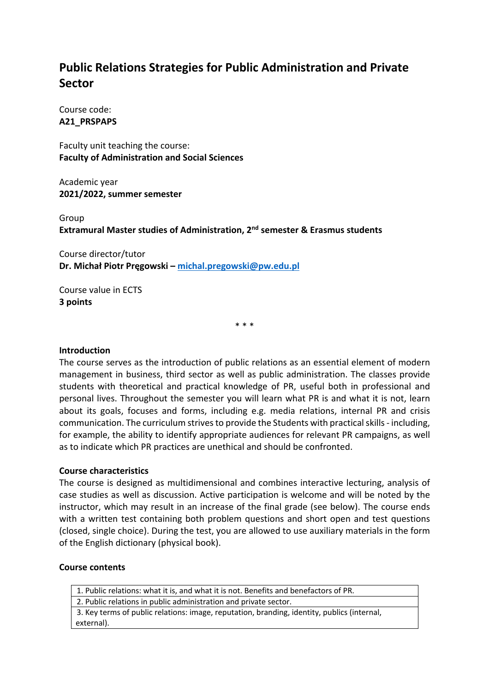# **Public Relations Strategies for Public Administration and Private Sector**

Course code: **A21\_PRSPAPS**

Faculty unit teaching the course: **Faculty of Administration and Social Sciences**

Academic year **2021/2022, summer semester**

Group **Extramural Master studies of Administration, 2nd semester & Erasmus students**

Course director/tutor **Dr. Michał Piotr Pręgowski – michal.pregowski@pw.edu.pl**

Course value in ECTS **3 points**

\* \* \*

### **Introduction**

The course serves as the introduction of public relations as an essential element of modern management in business, third sector as well as public administration. The classes provide students with theoretical and practical knowledge of PR, useful both in professional and personal lives. Throughout the semester you will learn what PR is and what it is not, learn about its goals, focuses and forms, including e.g. media relations, internal PR and crisis communication. The curriculum strives to provide the Students with practical skills - including, for example, the ability to identify appropriate audiences for relevant PR campaigns, as well as to indicate which PR practices are unethical and should be confronted.

### **Course characteristics**

The course is designed as multidimensional and combines interactive lecturing, analysis of case studies as well as discussion. Active participation is welcome and will be noted by the instructor, which may result in an increase of the final grade (see below). The course ends with a written test containing both problem questions and short open and test questions (closed, single choice). During the test, you are allowed to use auxiliary materials in the form of the English dictionary (physical book).

#### **Course contents**

1. Public relations: what it is, and what it is not. Benefits and benefactors of PR. 2. Public relations in public administration and private sector. 3. Key terms of public relations: image, reputation, branding, identity, publics (internal, external).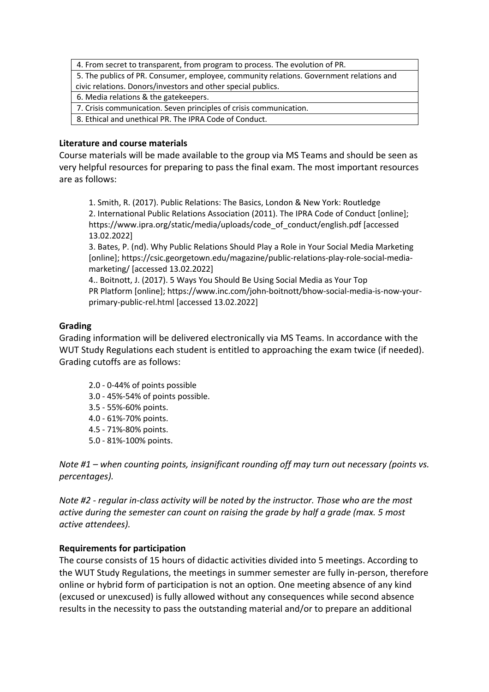4. From secret to transparent, from program to process. The evolution of PR.

5. The publics of PR. Consumer, employee, community relations. Government relations and civic relations. Donors/investors and other special publics.

6. Media relations & the gatekeepers.

7. Crisis communication. Seven principles of crisis communication.

8. Ethical and unethical PR. The IPRA Code of Conduct.

### **Literature and course materials**

Course materials will be made available to the group via MS Teams and should be seen as very helpful resources for preparing to pass the final exam. The most important resources are as follows:

1. Smith, R. (2017). Public Relations: The Basics, London & New York: Routledge 2. International Public Relations Association (2011). The IPRA Code of Conduct [online]; https://www.ipra.org/static/media/uploads/code\_of\_conduct/english.pdf [accessed 13.02.2022]

3. Bates, P. (nd). Why Public Relations Should Play a Role in Your Social Media Marketing [online]; https://csic.georgetown.edu/magazine/public-relations-play-role-social-mediamarketing/ [accessed 13.02.2022]

4.. Boitnott, J. (2017). 5 Ways You Should Be Using Social Media as Your Top PR Platform [online]; https://www.inc.com/john-boitnott/bhow-social-media-is-now-yourprimary-public-rel.html [accessed 13.02.2022]

## **Grading**

Grading information will be delivered electronically via MS Teams. In accordance with the WUT Study Regulations each student is entitled to approaching the exam twice (if needed). Grading cutoffs are as follows:

- 2.0 0-44% of points possible
- 3.0 45%-54% of points possible.
- 3.5 55%-60% points.
- 4.0 61%-70% points.
- 4.5 71%-80% points.
- 5.0 81%-100% points.

*Note #1 – when counting points, insignificant rounding off may turn out necessary (points vs. percentages).* 

*Note #2 - regular in-class activity will be noted by the instructor. Those who are the most active during the semester can count on raising the grade by half a grade (max. 5 most active attendees).*

## **Requirements for participation**

The course consists of 15 hours of didactic activities divided into 5 meetings. According to the WUT Study Regulations, the meetings in summer semester are fully in-person, therefore online or hybrid form of participation is not an option. One meeting absence of any kind (excused or unexcused) is fully allowed without any consequences while second absence results in the necessity to pass the outstanding material and/or to prepare an additional